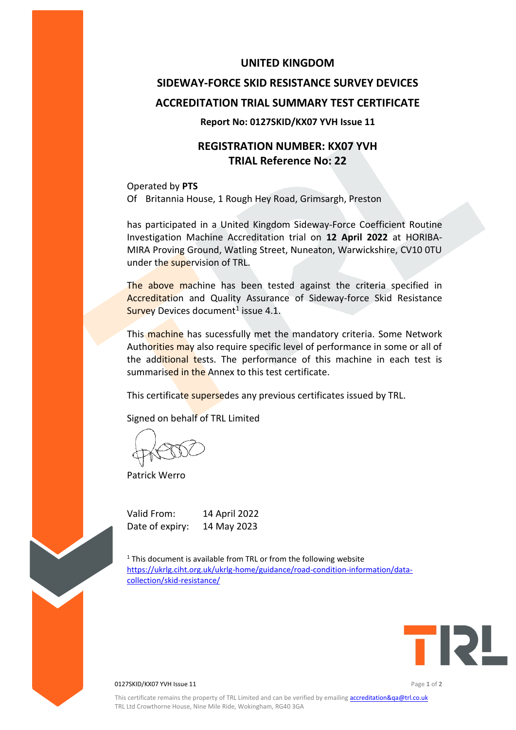### **UNITED KINGDOM**

# **SIDEWAY-FORCE SKID RESISTANCE SURVEY DEVICES ACCREDITATION TRIAL SUMMARY TEST CERTIFICATE**

#### **Report No: 0127SKID/KX07 YVH Issue 11**

## **REGISTRATION NUMBER: KX07 YVH TRIAL Reference No: 22**

Operated by **PTS** Of Britannia House, 1 Rough Hey Road, Grimsargh, Preston

has participated in a United Kingdom Sideway-Force Coefficient Routine Investigation Machine Accreditation trial on **12 April 2022** at HORIBA-MIRA Proving Ground, Watling Street, Nuneaton, Warwickshire, CV10 0TU under the supervision of TRL.

The above machine has been tested against the criteria specified in Accreditation and Quality Assurance of Sideway-force Skid Resistance Survey Devices document<sup>1</sup> issue 4.1.

This machine has sucessfully met the mandatory criteria. Some Network Authorities may also require specific level of performance in some or all of the additional tests. The performance of this machine in each test is summarised in the Annex to this test certificate.

This certificate supersedes any previous certificates issued by TRL.

Signed on behalf of TRL Limited

Patrick Werro

Valid From: 14 April 2022 Date of expiry: 14 May 2023

 $1$ <sup>1</sup> This document is available from TRL or from the following website [https://ukrlg.ciht.org.uk/ukrlg-home/guidance/road-condition-information/data](https://ukrlg.ciht.org.uk/ukrlg-home/guidance/road-condition-information/data-collection/skid-resistance/)[collection/skid-resistance/](https://ukrlg.ciht.org.uk/ukrlg-home/guidance/road-condition-information/data-collection/skid-resistance/)



0127SKID/KX07 YVH Issue 11 Page **1** of **2**